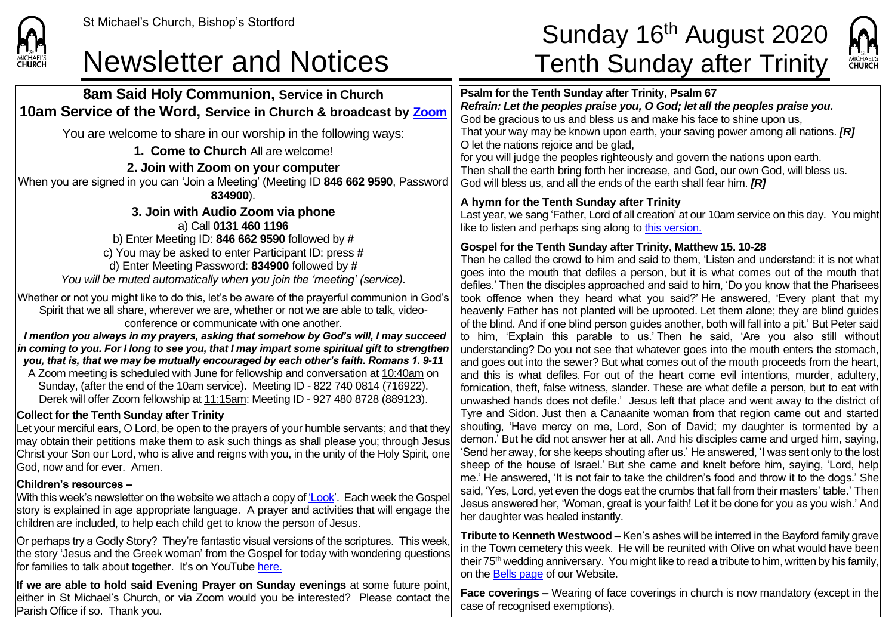

### Newsletter and Notices Tenth Sunday after Trinity

# St Michael's Church, Bishop's Stortford **Sunday 16<sup>th</sup> August 2020**



**8am Said Holy Communion, Service in Church 10am Service of the Word, Service in Church & broadcast by [Zoom](https://zoom.us/)** You are welcome to share in our worship in the following ways: **1. Come to Church** All are welcome! **2. Join with Zoom on your computer** When you are signed in you can 'Join a Meeting' (Meeting ID **846 662 9590**, Password **834900**). **3. Join with Audio Zoom via phone** a) Call **0131 460 1196** b) Enter Meeting ID: **846 662 9590** followed by **#** c) You may be asked to enter Participant ID: press **#** d) Enter Meeting Password: **834900** followed by **#** *You will be muted automatically when you join the 'meeting' (service).* Whether or not you might like to do this, let's be aware of the prayerful communion in God's Spirit that we all share, wherever we are, whether or not we are able to talk, videoconference or communicate with one another. *I mention you always in my prayers, asking that somehow by God's will, I may succeed in coming to you. For I long to see you, that I may impart some spiritual gift to strengthen you, that is, that we may be mutually encouraged by each other's faith. Romans 1. 9-11* A Zoom meeting is scheduled with June for fellowship and conversation at 10:40am on Sunday, (after the end of the 10am service). Meeting ID - 822 740 0814 (716922). Derek will offer Zoom fellowship at 11:15am: Meeting ID - 927 480 8728 (889123). **Collect for the Tenth Sunday after Trinity** Let your merciful ears, O Lord, be open to the prayers of your humble servants; and that they may obtain their petitions make them to ask such things as shall please you; through Jesus Christ your Son our Lord, who is alive and reigns with you, in the unity of the Holy Spirit, one God, now and for ever. Amen. **Children's resources –** With this week's newsletter on the website we attach a copy o[f 'Look'.](https://saintmichaelweb.org.uk/Articles/542815/_Newsletter.aspx) Each week the Gospel story is explained in age appropriate language. A prayer and activities that will engage the children are included, to help each child get to know the person of Jesus. Or perhaps try a Godly Story? They're fantastic visual versions of the scriptures. This week, the story 'Jesus and the Greek woman' from the Gospel for today with wondering questions for families to talk about together. It's on YouTube [here](https://www.youtube.com/watch?v=ddHZ6CCzOPA). **If we are able to hold said Evening Prayer on Sunday evenings** at some future point, either in St Michael's Church, or via Zoom would you be interested? Please contact the Parish Office if so. Thank you. **Psalm for the Tenth Sunday after Trinity, Psalm 67** *Refrain: Let the peoples praise you, O God; let all the peoples praise you.* God be gracious to us and bless us and make his face to shine upon us, That your way may be known upon earth, your saving power among all nations. *[R]* O let the nations rejoice and be glad, for you will judge the peoples righteously and govern the nations upon earth. Then shall the earth bring forth her increase, and God, our own God, will bless us. God will bless us, and all the ends of the earth shall fear him. *[R]* **A hymn for the Tenth Sunday after Trinity** Last year, we sang 'Father, Lord of all creation' at our 10am service on this day. You might like to listen and perhaps sing along t[o this version.](http://www.youtube.com/watch?v=L7FAu0c_-NY) **Gospel for the Tenth Sunday after Trinity, Matthew 15. 10-28** Then he called the crowd to him and said to them, 'Listen and understand: it is not what goes into the mouth that defiles a person, but it is what comes out of the mouth that defiles.' Then the disciples approached and said to him, 'Do you know that the Pharisees took offence when they heard what you said?' He answered, 'Every plant that my heavenly Father has not planted will be uprooted. Let them alone; they are blind guides of the blind. And if one blind person guides another, both will fall into a pit.' But Peter said to him, 'Explain this parable to us.' Then he said, 'Are you also still without understanding? Do you not see that whatever goes into the mouth enters the stomach, and goes out into the sewer? But what comes out of the mouth proceeds from the heart, and this is what defiles. For out of the heart come evil intentions, murder, adultery, fornication, theft, false witness, slander. These are what defile a person, but to eat with unwashed hands does not defile.' Jesus left that place and went away to the district of Tyre and Sidon. Just then a Canaanite woman from that region came out and started shouting, 'Have mercy on me, Lord, Son of David; my daughter is tormented by a demon.' But he did not answer her at all. And his disciples came and urged him, saying, 'Send her away, for she keeps shouting after us.' He answered, 'I was sent only to the lost sheep of the house of Israel.' But she came and knelt before him, saying, 'Lord, help me.' He answered, 'It is not fair to take the children's food and throw it to the dogs.' She said, 'Yes, Lord, yet even the dogs eat the crumbs that fall from their masters' table.' Then Jesus answered her, 'Woman, great is your faith! Let it be done for you as you wish.' And her daughter was healed instantly. **Tribute to Kenneth Westwood –** Ken's ashes will be interred in the Bayford family grave in the Town cemetery this week. He will be reunited with Olive on what would have been their  $75<sup>th</sup>$  wedding anniversary. You might like to read a tribute to him, written by his family, on the [Bells page](https://saintmichaelweb.org.uk/Groups/310527/Bells_and_Bells.aspx) of our Website. **Face coverings –** Wearing of face coverings in church is now mandatory (except in the case of recognised exemptions).